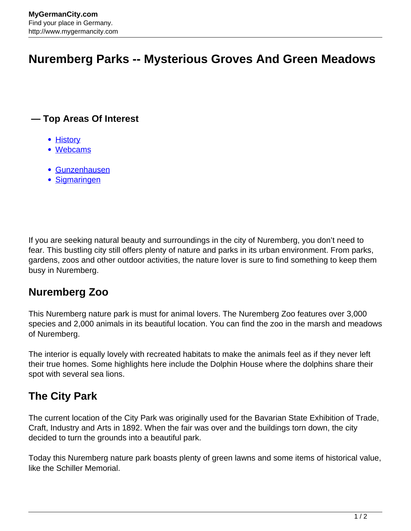# **Nuremberg Parks -- Mysterious Groves And Green Meadows**

#### **— Top Areas Of Interest**

- [History](http://www.mygermancity.com/leipzig-history)
- [Webcams](http://www.mygermancity.com/neustadt-holstein-webcams)
- [Gunzenhausen](http://www.mygermancity.com/gunzenhausen)
- [Sigmaringen](http://www.mygermancity.com/sigmaringen)

If you are seeking natural beauty and surroundings in the city of Nuremberg, you don't need to fear. This bustling city still offers plenty of nature and parks in its urban environment. From parks, gardens, zoos and other outdoor activities, the nature lover is sure to find something to keep them busy in Nuremberg.

## **Nuremberg Zoo**

This Nuremberg nature park is must for animal lovers. The Nuremberg Zoo features over 3,000 species and 2,000 animals in its beautiful location. You can find the zoo in the marsh and meadows of Nuremberg.

The interior is equally lovely with recreated habitats to make the animals feel as if they never left their true homes. Some highlights here include the Dolphin House where the dolphins share their spot with several sea lions.

## **The City Park**

The current location of the City Park was originally used for the Bavarian State Exhibition of Trade, Craft, Industry and Arts in 1892. When the fair was over and the buildings torn down, the city decided to turn the grounds into a beautiful park.

Today this Nuremberg nature park boasts plenty of green lawns and some items of historical value, like the Schiller Memorial.